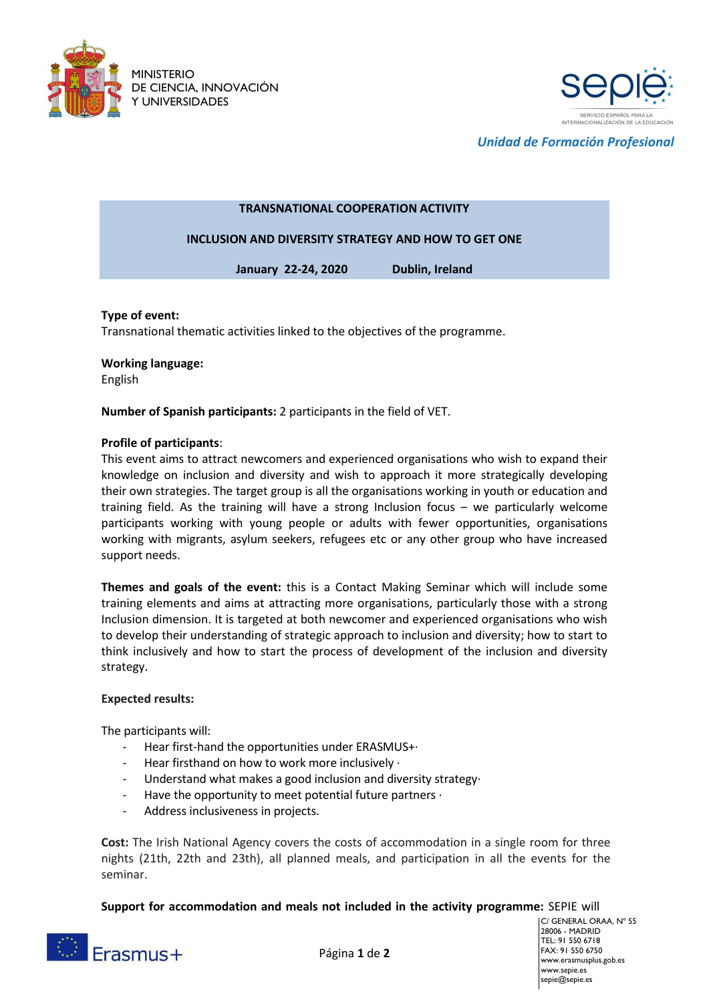



*Unidad de Formación Profesional*

## **TRANSNATIONAL COOPERATION ACTIVITY**

**INCLUSION AND DIVERSITY STRATEGY AND HOW TO GET ONE**

**January 22-24, 2020 Dublin, Ireland**

## **Type of event:**

Transnational thematic activities linked to the objectives of the programme.

**Working language:** 

English

**Number of Spanish participants:** 2 participants in the field of VET.

## **Profile of participants**:

This event aims to attract newcomers and experienced organisations who wish to expand their knowledge on inclusion and diversity and wish to approach it more strategically developing their own strategies. The target group is all the organisations working in youth or education and training field. As the training will have a strong Inclusion focus – we particularly welcome participants working with young people or adults with fewer opportunities, organisations working with migrants, asylum seekers, refugees etc or any other group who have increased support needs.

**Themes and goals of the event:** this is a Contact Making Seminar which will include some training elements and aims at attracting more organisations, particularly those with a strong Inclusion dimension. It is targeted at both newcomer and experienced organisations who wish to develop their understanding of strategic approach to inclusion and diversity; how to start to think inclusively and how to start the process of development of the inclusion and diversity strategy.

## **Expected results:**

The participants will:

- Hear first-hand the opportunities under ERASMUS+·
- Hear firsthand on how to work more inclusively ·
- Understand what makes a good inclusion and diversity strategy·
- Have the opportunity to meet potential future partners  $\cdot$
- Address inclusiveness in projects.

**Cost:** The Irish National Agency covers the costs of accommodation in a single room for three nights (21th, 22th and 23th), all planned meals, and participation in all the events for the seminar.

**Support for accommodation and meals not included in the activity programme:** SEPIE will



Página **1** de **2**